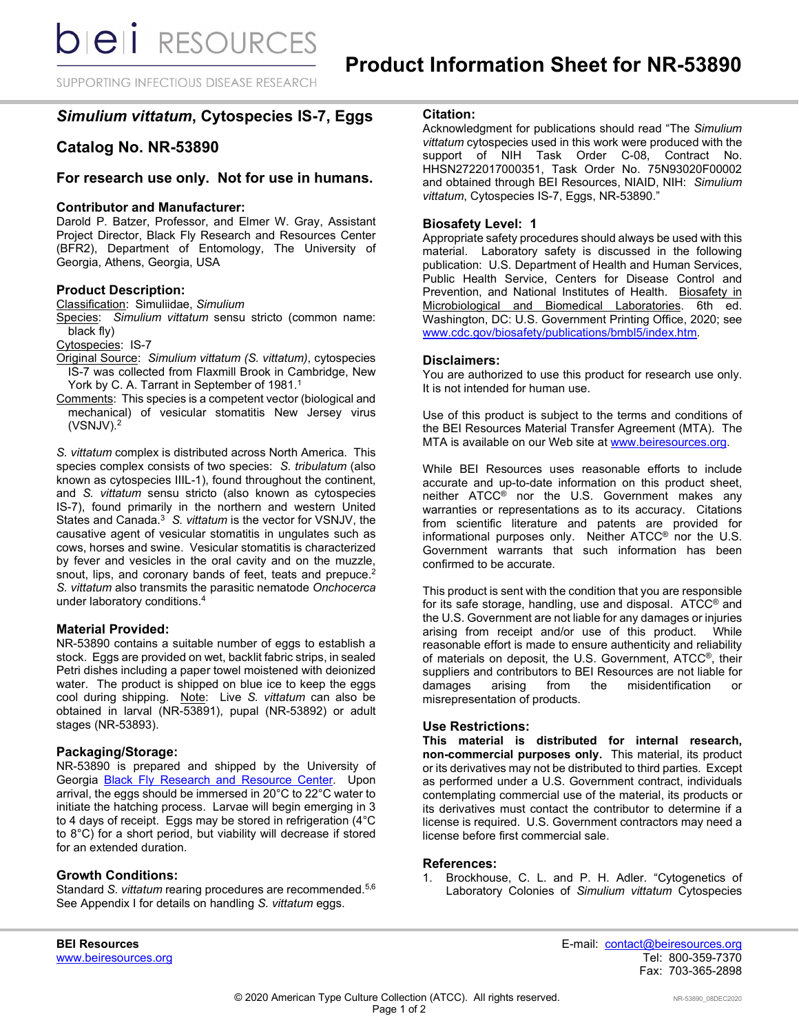SUPPORTING INFECTIOUS DISEASE RESEARCH

# *Simulium vittatum***, Cytospecies IS-7, Eggs**

## **Catalog No. NR-53890**

## **For research use only. Not for use in humans.**

## **Contributor and Manufacturer:**

Darold P. Batzer, Professor, and Elmer W. Gray, Assistant Project Director, Black Fly Research and Resources Center (BFR2), Department of Entomology, The University of Georgia, Athens, Georgia, USA

## **Product Description:**

Classification: Simuliidae, *Simulium*

Species: *Simulium vittatum* sensu stricto (common name: black fly)

Cytospecies: IS-7

Original Source: *Simulium vittatum (S. vittatum)*, cytospecies IS-7 was collected from Flaxmill Brook in Cambridge, New York by C. A. Tarrant in September of 1981.<sup>1</sup>

Comments: This species is a competent vector (biological and mechanical) of vesicular stomatitis New Jersey virus (VSNJV).2

*S. vittatum* complex is distributed across North America. This species complex consists of two species: *S. tribulatum* (also known as cytospecies IIIL-1), found throughout the continent, and *S. vittatum* sensu stricto (also known as cytospecies IS-7), found primarily in the northern and western United States and Canada.3 *S. vittatum* is the vector for VSNJV, the causative agent of vesicular stomatitis in ungulates such as cows, horses and swine. Vesicular stomatitis is characterized by fever and vesicles in the oral cavity and on the muzzle, snout, lips, and coronary bands of feet, teats and prepuce.<sup>2</sup> *S. vittatum* also transmits the parasitic nematode *Onchocerca* under laboratory conditions. 4

## **Material Provided:**

NR-53890 contains a suitable number of eggs to establish a stock. Eggs are provided on wet, backlit fabric strips, in sealed Petri dishes including a paper towel moistened with deionized water. The product is shipped on blue ice to keep the eggs cool during shipping. Note: Live *S. vittatum* can also be obtained in larval (NR-53891), pupal (NR-53892) or adult stages (NR-53893).

## **Packaging/Storage:**

NR-53890 is prepared and shipped by the University of Georgia **Black Fly Research and Resource Center**. Upon arrival, the eggs should be immersed in 20°C to 22°C water to initiate the hatching process. Larvae will begin emerging in 3 to 4 days of receipt. Eggs may be stored in refrigeration (4°C to 8°C) for a short period, but viability will decrease if stored for an extended duration.

## **Growth Conditions:**

Standard *S. vittatum* rearing procedures are recommended.5,6 See Appendix I for details on handling *S. vittatum* eggs.

**Citation:**

Acknowledgment for publications should read "The *Simulium vittatum* cytospecies used in this work were produced with the support of NIH Task Order C-08, Contract No. HHSN2722017000351, Task Order No. 75N93020F00002 and obtained through BEI Resources, NIAID, NIH: *Simulium vittatum*, Cytospecies IS-7, Eggs, NR-53890."

## **Biosafety Level: 1**

Appropriate safety procedures should always be used with this material. Laboratory safety is discussed in the following publication: U.S. Department of Health and Human Services, Public Health Service, Centers for Disease Control and Prevention, and National Institutes of Health. Biosafety in Microbiological and Biomedical Laboratories. 6th ed. Washington, DC: U.S. Government Printing Office, 2020; see www.cdc.gov/biosafety/publications/bmbl5/index.htm.

#### **Disclaimers:**

You are authorized to use this product for research use only. It is not intended for human use.

Use of this product is subject to the terms and conditions of the BEI Resources Material Transfer Agreement (MTA). The MTA is available on our Web site at [www.beiresources.org.](http://www.beiresources.org/)

While BEI Resources uses reasonable efforts to include accurate and up-to-date information on this product sheet, neither ATCC® nor the U.S. Government makes any warranties or representations as to its accuracy. Citations from scientific literature and patents are provided for informational purposes only. Neither ATCC® nor the U.S. Government warrants that such information has been confirmed to be accurate.

This product is sent with the condition that you are responsible for its safe storage, handling, use and disposal. ATCC® and the U.S. Government are not liable for any damages or injuries arising from receipt and/or use of this product. While reasonable effort is made to ensure authenticity and reliability of materials on deposit, the U.S. Government, ATCC®, their suppliers and contributors to BEI Resources are not liable for damages arising from the misidentification or misrepresentation of products.

## **Use Restrictions:**

**This material is distributed for internal research, non-commercial purposes only.** This material, its product or its derivatives may not be distributed to third parties. Except as performed under a U.S. Government contract, individuals contemplating commercial use of the material, its products or its derivatives must contact the contributor to determine if a license is required. U.S. Government contractors may need a license before first commercial sale.

#### **References:**

1. Brockhouse, C. L. and P. H. Adler. "Cytogenetics of Laboratory Colonies of *Simulium vittatum* Cytospecies

www.beiresources.org

**BEI Resources** E-mail: contact@beiresources.org Fax: 703-365-2898